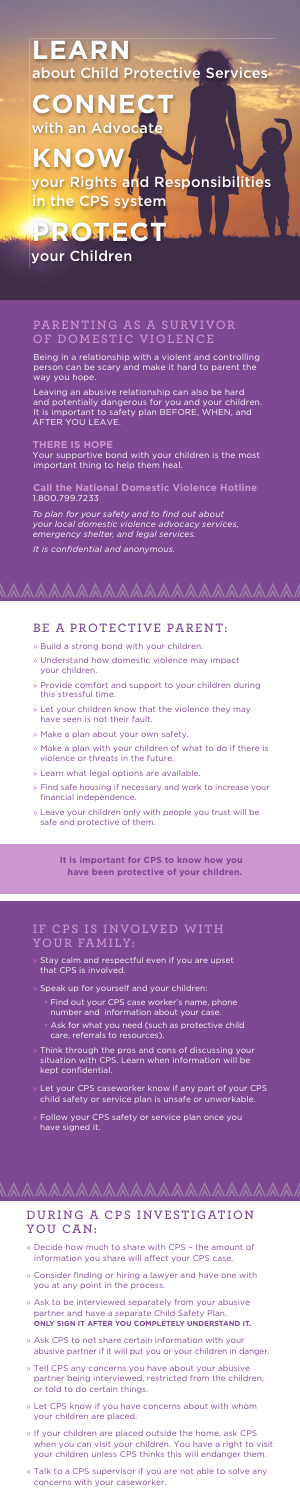## **YOUR FAMILY:**

- Stay calm and respectful even if you are upset that CPS is involved.
- Speak up for yourself and your children:
	- Find out your CPS case worker's name, phone number and information about your case.
	- Ask for what you need (such as protective child care, referrals to resources).
- $\ast$  Think through the pros and cons of discussing your situation with CPS. Learn when information will be kept confidential.
- » Let your CPS caseworker know if any part of your CPS child safety or service plan is unsafe or unworkable.
- » Follow your CPS safety or service plan once you have signed it.

# **PA R E N T I N G AS A S U RV I VO R**  DOMESTIC VIOLENCE

**KNO** your Rights and Responsibilities in the CPS system

Being in a relationship with a violent and controlling person can be scary and make it hard to parent the way you hope.

Leaving an abusive relationship can also be hard and potentially dangerous for you and your children. It is important to safety plan BEFORE, WHEN, and AFTER YOU LEAVE.

### **THERE IS HOPE**

Your supportive bond with your children is the most important thing to help them heal.

**Call the National Domestic Violence Hotline**  1.800.799.7233

*To plan for your safety and to find out about your local domestic violence advocacy services, emergency shelter, and legal services.*

*It is confidential and anonymous.*

# **LEARN** about Child Protective Services

# **CONNECT** with an Advocate

# your Children

**PROTE** 

# **BE A PROTECTIVE PARENT:**

- » Decide how much to share with CPS the amount of information you share will affect your CPS case.
- » Consider finding or hiring a lawyer and have one with you at any point in the process.
- » Ask to be interviewed separately from your abusive partner and have a separate Child Safety Plan. **ONLY SIGN IT AFTER YOU COMPLETELY UNDERSTAND IT.**
- » Ask CPS to not share certain information with your abusive partner if it will put you or your children in danger.
- Tell CPS any concerns you have about your abusive partner being interviewed, restricted from the children, or told to do certain things.
- » Let CPS know if you have concerns about with whom your children are placed.
- » If your children are placed outside the home, ask CPS when you can visit your children. You have a right to visit your children unless CPS thinks this will endanger them.
- » Talk to a CPS supervisor if you are not able to solve any concerns with your caseworker.
- » Build a strong bond with your children.
- » Understand how domestic violence may impact your children.
- » Provide comfort and support to your children during this stressful time.
- » Let your children know that the violence they may have seen is not their fault.
- » Make a plan about your own safety.
- » Make a plan with your children of what to do if there is violence or threats in the future.
- » Learn what legal options are available.
- » Find safe housing if necessary and work to increase your financial independence.
- » Leave your children only with people you trust will be safe and protective of them.

**It is important for CPS to know how you have been protective of your children.**

## IF CPS IS INVOLVED WITH

# **DURING A CPS INVESTIGATION YOU CAN:**